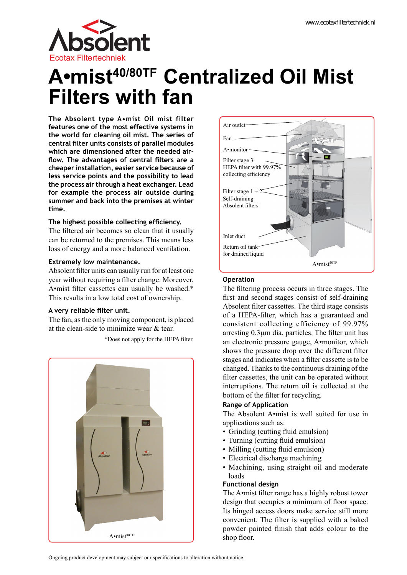

# **A•mist40/80TF Centralized Oil Mist Filters with fan**

Fan

Air outlet

A•monitor

**The Absolent type A•mist Oil mist filter features one of the most effective systems in the world for cleaning oil mist. The series of central filter units consists of parallel modules which are dimensioned after the needed airflow. The advantages of central filters are a cheaper installation, easier service because of less service points and the possibility to lead the process air through a heat exchanger. Lead for example the process air outside during summer and back into the premises at winter time.**

# **The highest possible collecting efficiency.**

The filtered air becomes so clean that it usually can be returned to the premises. This means less loss of energy and a more balanced ventilation.

# **Extremely low maintenance.**

Absolent filter units can usually run for at least one year without requiring a filter change. Moreover, A•mist filter cassettes can usually be washed.\* This results in a low total cost of ownership.

# **A very reliable filter unit.**

The fan, as the only moving component, is placed at the clean-side to minimize wear & tear.

\*Does not apply for the HEPA filter.



A•mist<sup>40TF</sup> Filter stage 3 HEPA filter with 99.97% collecting efficiency Filter stage  $1 + 2$ Self-draining Absolent filters Return oil tank for drained liquid Inlet duct

# **Operation**

The filtering process occurs in three stages. The first and second stages consist of self-draining Absolent filter cassettes. The third stage consists of a HEPA-filter, which has a guaranteed and consistent collecting efficiency of 99.97% arresting 0.3µm dia. particles. The filter unit has an electronic pressure gauge, A•monitor, which shows the pressure drop over the different filter stages and indicates when a filter cassette is to be changed. Thanks to the continuous draining of the filter cassettes, the unit can be operated without interruptions. The return oil is collected at the bottom of the filter for recycling.

# **Range of Application**

The Absolent A•mist is well suited for use in applications such as:

- Grinding (cutting fluid emulsion)
- Turning (cutting fluid emulsion)
- Milling (cutting fluid emulsion)
- Electrical discharge machining
- Machining, using straight oil and moderate loads

# **Functional design**

The A•mist filter range has a highly robust tower design that occupies a minimum of floor space. Its hinged access doors make service still more convenient. The filter is supplied with a baked powder painted finish that adds colour to the shop floor.